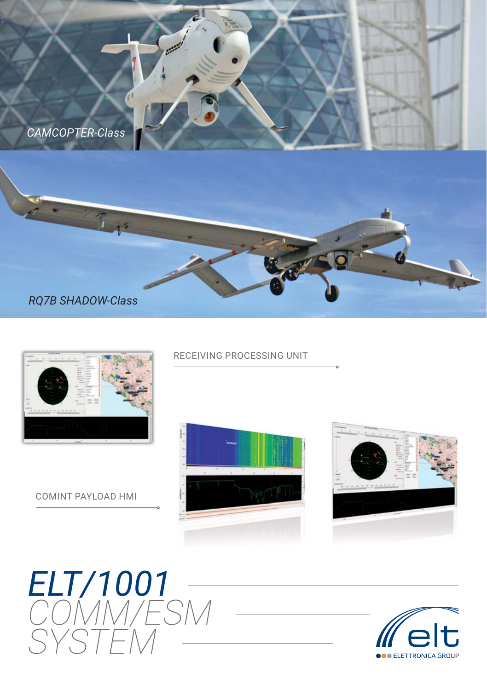

## *RQ7B SHADOW-Class*

 $L_{\mathbf{1}^2}$ 



COMINT PAYLOAD HMI

#### RECEIVING PROCESSING UNIT